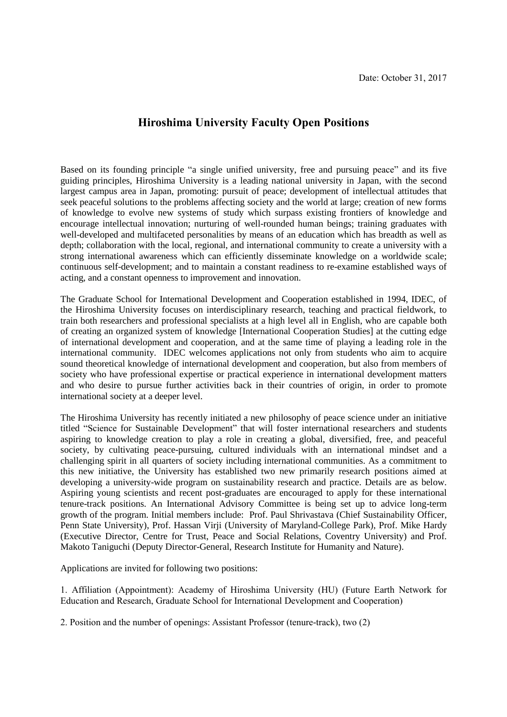## **Hiroshima University Faculty Open Positions**

Based on its founding principle "a single unified university, free and pursuing peace" and its five guiding principles, Hiroshima University is a leading national university in Japan, with the second largest campus area in Japan, promoting: pursuit of peace; development of intellectual attitudes that seek peaceful solutions to the problems affecting society and the world at large; creation of new forms of knowledge to evolve new systems of study which surpass existing frontiers of knowledge and encourage intellectual innovation; nurturing of well-rounded human beings; training graduates with well-developed and multifaceted personalities by means of an education which has breadth as well as depth; collaboration with the local, regional, and international community to create a university with a strong international awareness which can efficiently disseminate knowledge on a worldwide scale; continuous self-development; and to maintain a constant readiness to re-examine established ways of acting, and a constant openness to improvement and innovation.

The Graduate School for International Development and Cooperation established in 1994, IDEC, of the Hiroshima University focuses on interdisciplinary research, teaching and practical fieldwork, to train both researchers and professional specialists at a high level all in English, who are capable both of creating an organized system of knowledge [International Cooperation Studies] at the cutting edge of international development and cooperation, and at the same time of playing a leading role in the international community. IDEC welcomes applications not only from students who aim to acquire sound theoretical knowledge of international development and cooperation, but also from members of society who have professional expertise or practical experience in international development matters and who desire to pursue further activities back in their countries of origin, in order to promote international society at a deeper level.

The Hiroshima University has recently initiated a new philosophy of peace science under an initiative titled "Science for Sustainable Development" that will foster international researchers and students aspiring to knowledge creation to play a role in creating a global, diversified, free, and peaceful society, by cultivating peace-pursuing, cultured individuals with an international mindset and a challenging spirit in all quarters of society including international communities. As a commitment to this new initiative, the University has established two new primarily research positions aimed at developing a university-wide program on sustainability research and practice. Details are as below. Aspiring young scientists and recent post-graduates are encouraged to apply for these international tenure-track positions. An International Advisory Committee is being set up to advice long-term growth of the program. Initial members include: Prof. Paul Shrivastava (Chief Sustainability Officer, Penn State University), Prof. Hassan Virji (University of Maryland-College Park), Prof. Mike Hardy (Executive Director, Centre for Trust, Peace and Social Relations, Coventry University) and Prof. Makoto Taniguchi (Deputy Director-General, Research Institute for Humanity and Nature).

Applications are invited for following two positions:

1. Affiliation (Appointment): Academy of Hiroshima University (HU) (Future Earth Network for Education and Research, Graduate School for International Development and Cooperation)

2. Position and the number of openings: Assistant Professor (tenure-track), two (2)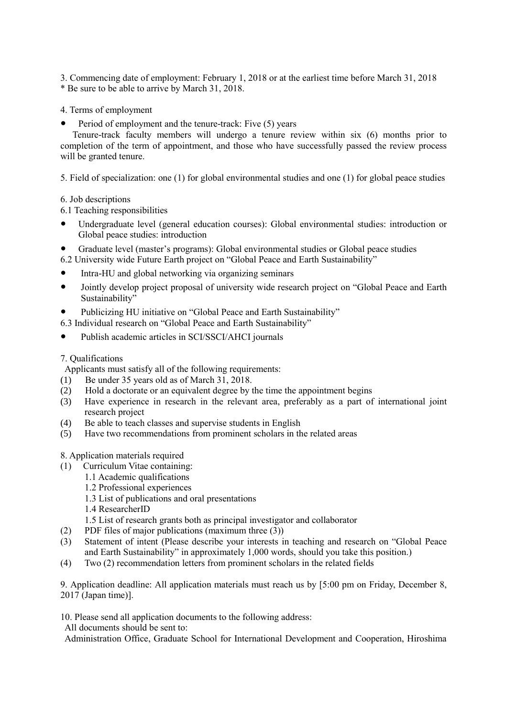3. Commencing date of employment: February 1, 2018 or at the earliest time before March 31, 2018 \* Be sure to be able to arrive by March 31, 2018.

4. Terms of employment

Period of employment and the tenure-track: Five (5) years

Tenure-track faculty members will undergo a tenure review within six (6) months prior to completion of the term of appointment, and those who have successfully passed the review process will be granted tenure.

5. Field of specialization: one (1) for global environmental studies and one (1) for global peace studies

6. Job descriptions

6.1 Teaching responsibilities

- Undergraduate level (general education courses): Global environmental studies: introduction or Global peace studies: introduction
- Graduate level (master's programs): Global environmental studies or Global peace studies
- 6.2 University wide Future Earth project on "Global Peace and Earth Sustainability"
- Intra-HU and global networking via organizing seminars
- Jointly develop project proposal of university wide research project on "Global Peace and Earth Sustainability'
- Publicizing HU initiative on "Global Peace and Earth Sustainability"
- 6.3 Individual research on "Global Peace and Earth Sustainability"
- Publish academic articles in SCI/SSCI/AHCI journals

## 7. Qualifications

Applicants must satisfy all of the following requirements:

- (1) Be under 35 years old as of March 31, 2018.
- (2) Hold a doctorate or an equivalent degree by the time the appointment begins
- (3) Have experience in research in the relevant area, preferably as a part of international joint research project
- (4) Be able to teach classes and supervise students in English
- (5) Have two recommendations from prominent scholars in the related areas

8. Application materials required

- (1) Curriculum Vitae containing:
	- 1.1 Academic qualifications
	- 1.2 Professional experiences
	- 1.3 List of publications and oral presentations
	- 1.4 ResearcherID
	- 1.5 List of research grants both as principal investigator and collaborator
- (2) PDF files of major publications (maximum three (3))
- (3) Statement of intent (Please describe your interests in teaching and research on "Global Peace and Earth Sustainability" in approximately 1,000 words, should you take this position.)
- (4) Two (2) recommendation letters from prominent scholars in the related fields

9. Application deadline: All application materials must reach us by [5:00 pm on Friday, December 8, 2017 (Japan time)].

10. Please send all application documents to the following address:

All documents should be sent to:

Administration Office, Graduate School for International Development and Cooperation, Hiroshima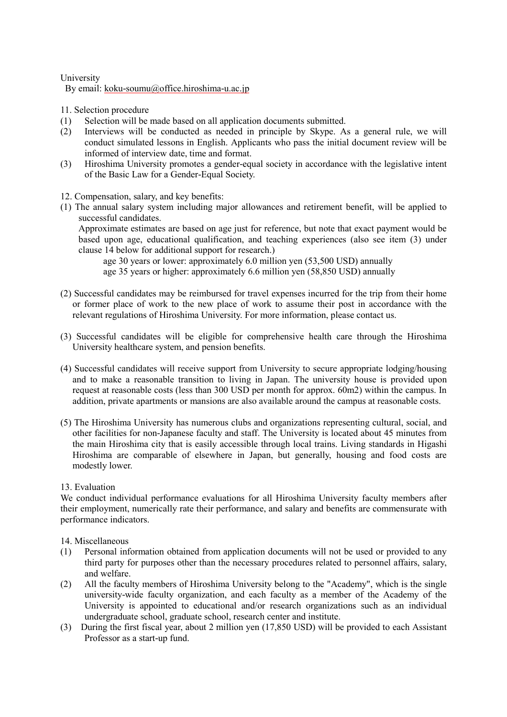University

By email: koku-soumu@office.hiroshima-u.ac.jp

11. Selection procedure

- (1) Selection will be made based on all application documents submitted.
- (2) Interviews will be conducted as needed in principle by Skype. As a general rule, we will conduct simulated lessons in English. Applicants who pass the initial document review will be informed of interview date, time and format.
- (3) Hiroshima University promotes a gender-equal society in accordance with the legislative intent of the Basic Law for a Gender-Equal Society.
- 12. Compensation, salary, and key benefits:
- (1) The annual salary system including major allowances and retirement benefit, will be applied to successful candidates.

Approximate estimates are based on age just for reference, but note that exact payment would be based upon age, educational qualification, and teaching experiences (also see item (3) under clause 14 below for additional support for research.)

 age 30 years or lower: approximately 6.0 million yen (53,500 USD) annually age 35 years or higher: approximately 6.6 million yen (58,850 USD) annually

- (2) Successful candidates may be reimbursed for travel expenses incurred for the trip from their home or former place of work to the new place of work to assume their post in accordance with the relevant regulations of Hiroshima University. For more information, please contact us.
- (3) Successful candidates will be eligible for comprehensive health care through the Hiroshima University healthcare system, and pension benefits.
- (4) Successful candidates will receive support from University to secure appropriate lodging/housing and to make a reasonable transition to living in Japan. The university house is provided upon request at reasonable costs (less than 300 USD per month for approx. 60m2) within the campus. In addition, private apartments or mansions are also available around the campus at reasonable costs.
- (5) The Hiroshima University has numerous clubs and organizations representing cultural, social, and other facilities for non-Japanese faculty and staff. The University is located about 45 minutes from the main Hiroshima city that is easily accessible through local trains. Living standards in Higashi Hiroshima are comparable of elsewhere in Japan, but generally, housing and food costs are modestly lower.

## 13. Evaluation

We conduct individual performance evaluations for all Hiroshima University faculty members after their employment, numerically rate their performance, and salary and benefits are commensurate with performance indicators.

14. Miscellaneous

- (1) Personal information obtained from application documents will not be used or provided to any third party for purposes other than the necessary procedures related to personnel affairs, salary, and welfare.
- (2) All the faculty members of Hiroshima University belong to the "Academy", which is the single university-wide faculty organization, and each faculty as a member of the Academy of the University is appointed to educational and/or research organizations such as an individual undergraduate school, graduate school, research center and institute.
- (3) During the first fiscal year, about 2 million yen (17,850 USD) will be provided to each Assistant Professor as a start-up fund.